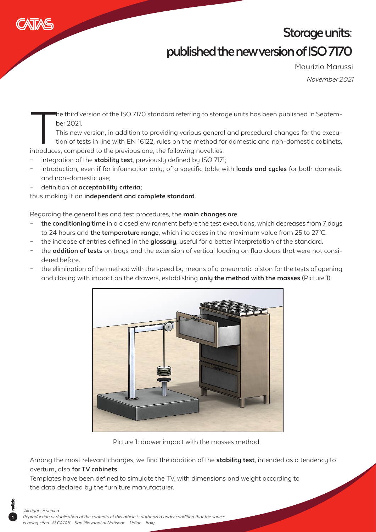

## **Storage units: published the new version of ISO 7170**

November 2021 Maurizio Marussi

ber 2021.

The third version of the ISO 7170 standard referring to storage units has been published in Septem-<br>ber 2021.<br>This new version, in addition to providing various general and procedural changes for the execu-<br>tion of tests i This new version, in addition to providing various general and procedural changes for the execution of tests in line with EN 16122, rules on the method for domestic and non-domestic cabinets, introduces, compared to the previous one, the following novelties:

- integration of the **stability test**, previously defined by ISO 7171;
- introduction, even if for information only, of a specific table with **loads and cycles** for both domestic and non-domestic use;
- definition of **acceptability criteria;**

thus making it an **independent and complete standard**.

Regarding the generalities and test procedures, the **main changes are**:

- **the conditioning time** in a closed environment before the test executions, which decreases from 7 days to 24 hours and **the temperature range**, which increases in the maximum value from 25 to 27°C.
- the increase of entries defined in the **glossary**, useful for a better interpretation of the standard.
- the **addition of tests** on trays and the extension of vertical loading on flap doors that were not considered before.
- the elimination of the method with the speed by means of a pneumatic piston for the tests of opening and closing with impact on the drawers, establishing **only the method with the masses** (Picture 1).



Picture 1: drawer impact with the masses method

Among the most relevant changes, we find the addition of the **stability test**, intended as a tendency to overturn, also **for TV cabinets**.

Templates have been defined to simulate the TV, with dimensions and weight according to the data declared by the furniture manufacturer.

**1**